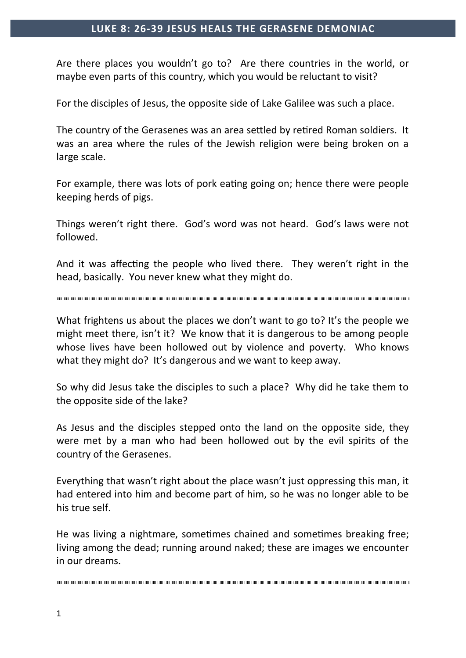## **LUKE 8: 26-39 JESUS HEALS THE GERASENE DEMONIAC**

Are there places you wouldn't go to? Are there countries in the world, or maybe even parts of this country, which you would be reluctant to visit?

For the disciples of Jesus, the opposite side of Lake Galilee was such a place.

The country of the Gerasenes was an area settled by retired Roman soldiers. It was an area where the rules of the Jewish religion were being broken on a large scale.

For example, there was lots of pork eating going on; hence there were people keeping herds of pigs.

Things weren't right there. God's word was not heard. God's laws were not followed.

And it was affecting the people who lived there. They weren't right in the head, basically. You never knew what they might do.

What frightens us about the places we don't want to go to? It's the people we might meet there, isn't it? We know that it is dangerous to be among people whose lives have been hollowed out by violence and poverty. Who knows what they might do? It's dangerous and we want to keep away.

So why did Jesus take the disciples to such a place? Why did he take them to the opposite side of the lake?

As Jesus and the disciples stepped onto the land on the opposite side, they were met by a man who had been hollowed out by the evil spirits of the country of the Gerasenes.

Everything that wasn't right about the place wasn't just oppressing this man, it had entered into him and become part of him, so he was no longer able to be his true self.

He was living a nightmare, sometimes chained and sometimes breaking free; living among the dead; running around naked; these are images we encounter in our dreams.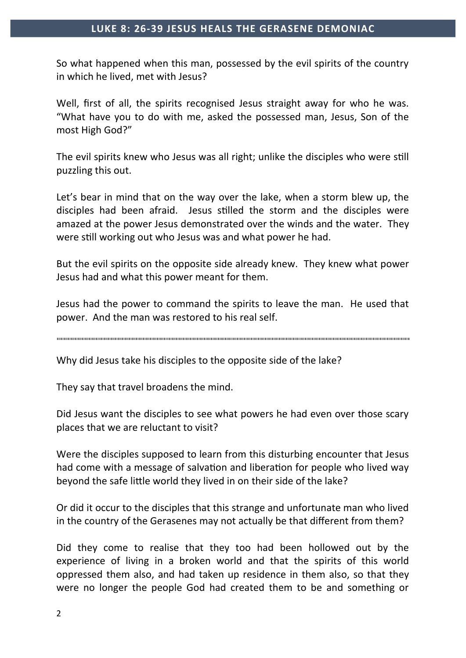## **LUKE 8: 26-39 JESUS HEALS THE GERASENE DEMONIAC**

So what happened when this man, possessed by the evil spirits of the country in which he lived, met with Jesus?

Well, first of all, the spirits recognised Jesus straight away for who he was. "What have you to do with me, asked the possessed man, Jesus, Son of the most High God?"

The evil spirits knew who Jesus was all right; unlike the disciples who were still puzzling this out.

Let's bear in mind that on the way over the lake, when a storm blew up, the disciples had been afraid. Jesus stilled the storm and the disciples were amazed at the power Jesus demonstrated over the winds and the water. They were still working out who Jesus was and what power he had.

But the evil spirits on the opposite side already knew. They knew what power Jesus had and what this power meant for them.

Jesus had the power to command the spirits to leave the man. He used that power. And the man was restored to his real self.

Why did Jesus take his disciples to the opposite side of the lake?

They say that travel broadens the mind.

Did Jesus want the disciples to see what powers he had even over those scary places that we are reluctant to visit?

Were the disciples supposed to learn from this disturbing encounter that Jesus had come with a message of salvation and liberation for people who lived way beyond the safe little world they lived in on their side of the lake?

Or did it occur to the disciples that this strange and unfortunate man who lived in the country of the Gerasenes may not actually be that different from them?

Did they come to realise that they too had been hollowed out by the experience of living in a broken world and that the spirits of this world oppressed them also, and had taken up residence in them also, so that they were no longer the people God had created them to be and something or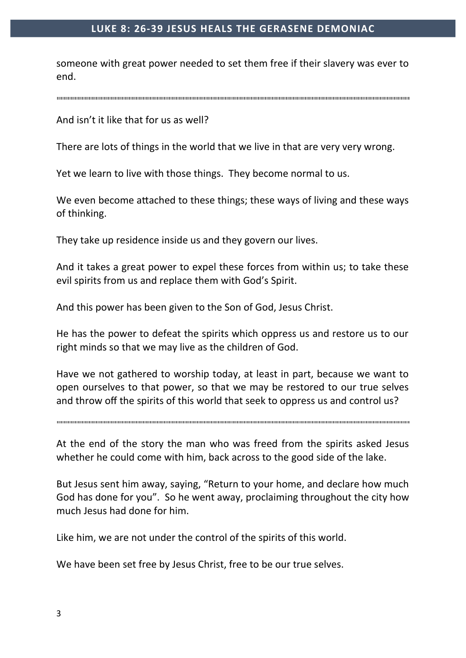## **LUKE 8: 26-39 JESUS HEALS THE GERASENE DEMONIAC**

someone with great power needed to set them free if their slavery was ever to end.

And isn't it like that for us as well?

There are lots of things in the world that we live in that are very very wrong.

Yet we learn to live with those things. They become normal to us.

We even become attached to these things; these ways of living and these ways of thinking.

They take up residence inside us and they govern our lives.

And it takes a great power to expel these forces from within us; to take these evil spirits from us and replace them with God's Spirit.

And this power has been given to the Son of God, Jesus Christ.

He has the power to defeat the spirits which oppress us and restore us to our right minds so that we may live as the children of God.

Have we not gathered to worship today, at least in part, because we want to open ourselves to that power, so that we may be restored to our true selves and throw off the spirits of this world that seek to oppress us and control us?

At the end of the story the man who was freed from the spirits asked Jesus whether he could come with him, back across to the good side of the lake.

But Jesus sent him away, saying, "Return to your home, and declare how much God has done for you". So he went away, proclaiming throughout the city how much Jesus had done for him.

Like him, we are not under the control of the spirits of this world.

We have been set free by Jesus Christ, free to be our true selves.